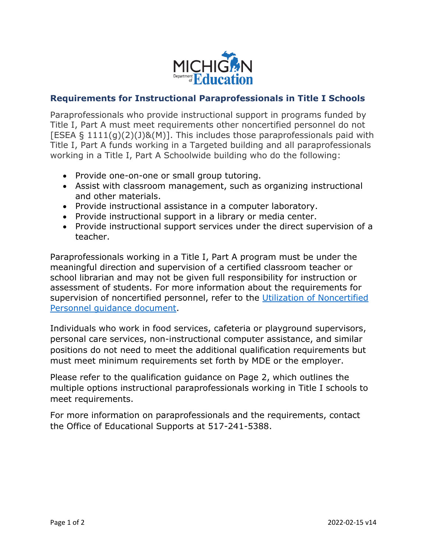

## **Requirements for Instructional Paraprofessionals in Title I Schools**

Paraprofessionals who provide instructional support in programs funded by Title I, Part A must meet requirements other noncertified personnel do not [ESEA § 1111(g)(2)(J)&(M)]. This includes those paraprofessionals paid with Title I, Part A funds working in a Targeted building and all paraprofessionals working in a Title I, Part A Schoolwide building who do the following:

- Provide one-on-one or small group tutoring.
- Assist with classroom management, such as organizing instructional and other materials.
- Provide instructional assistance in a computer laboratory.
- Provide instructional support in a library or media center.
- Provide instructional support services under the direct supervision of a teacher.

Paraprofessionals working in a Title I, Part A program must be under the meaningful direction and supervision of a certified classroom teacher or school librarian and may not be given full responsibility for instruction or assessment of students. For more information about the requirements for supervision of noncertified personnel, refer to the [Utilization of Noncertified](https://www.michigan.gov/documents/mde/Paraprofessionals_Utilization_NonCert_545711_7.PDF)  Personnel [guidance document.](https://www.michigan.gov/documents/mde/Paraprofessionals_Utilization_NonCert_545711_7.PDF)

Individuals who work in food services, cafeteria or playground supervisors, personal care services, non-instructional computer assistance, and similar positions do not need to meet the additional qualification requirements but must meet minimum requirements set forth by MDE or the employer.

Please refer to the qualification guidance on Page 2, which outlines the multiple options instructional paraprofessionals working in Title I schools to meet requirements.

For more information on paraprofessionals and the requirements, contact the Office of Educational Supports at 517-241-5388.